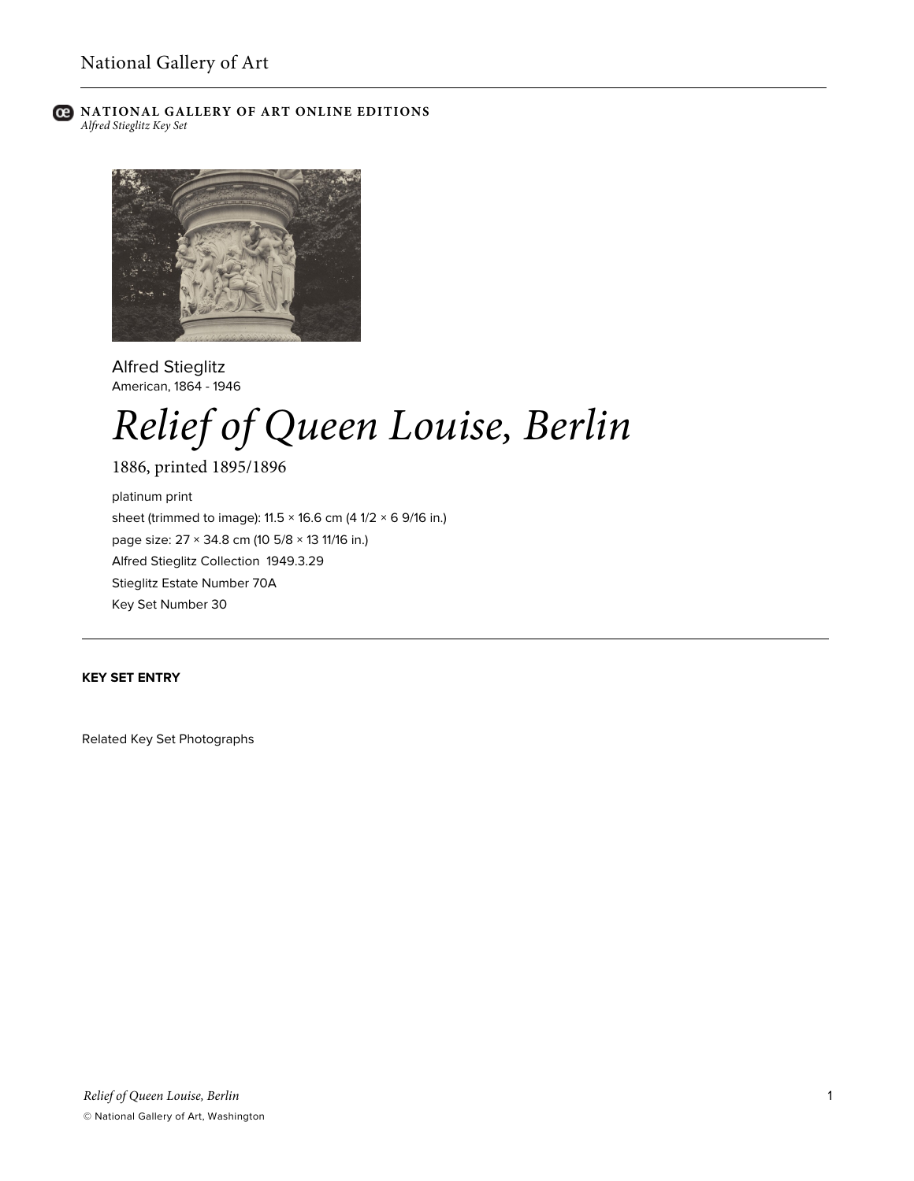

**C** NATIONAL GALLERY OF ART ONLINE EDITIONS *Alfred Stieglitz Key Set*



Alfred Stieglitz American, 1864 - 1946

# *Relief of Queen Louise, Berlin*

1886, printed 1895/1896 platinum print sheet (trimmed to image):  $11.5 \times 16.6$  cm (4  $1/2 \times 6$  9/16 in.) page size: 27 × 34.8 cm (10 5/8 × 13 11/16 in.) Alfred Stieglitz Collection 1949.3.29 Stieglitz Estate Number 70A Key Set Number 30

# **KEY SET ENTRY**

Related Key Set Photographs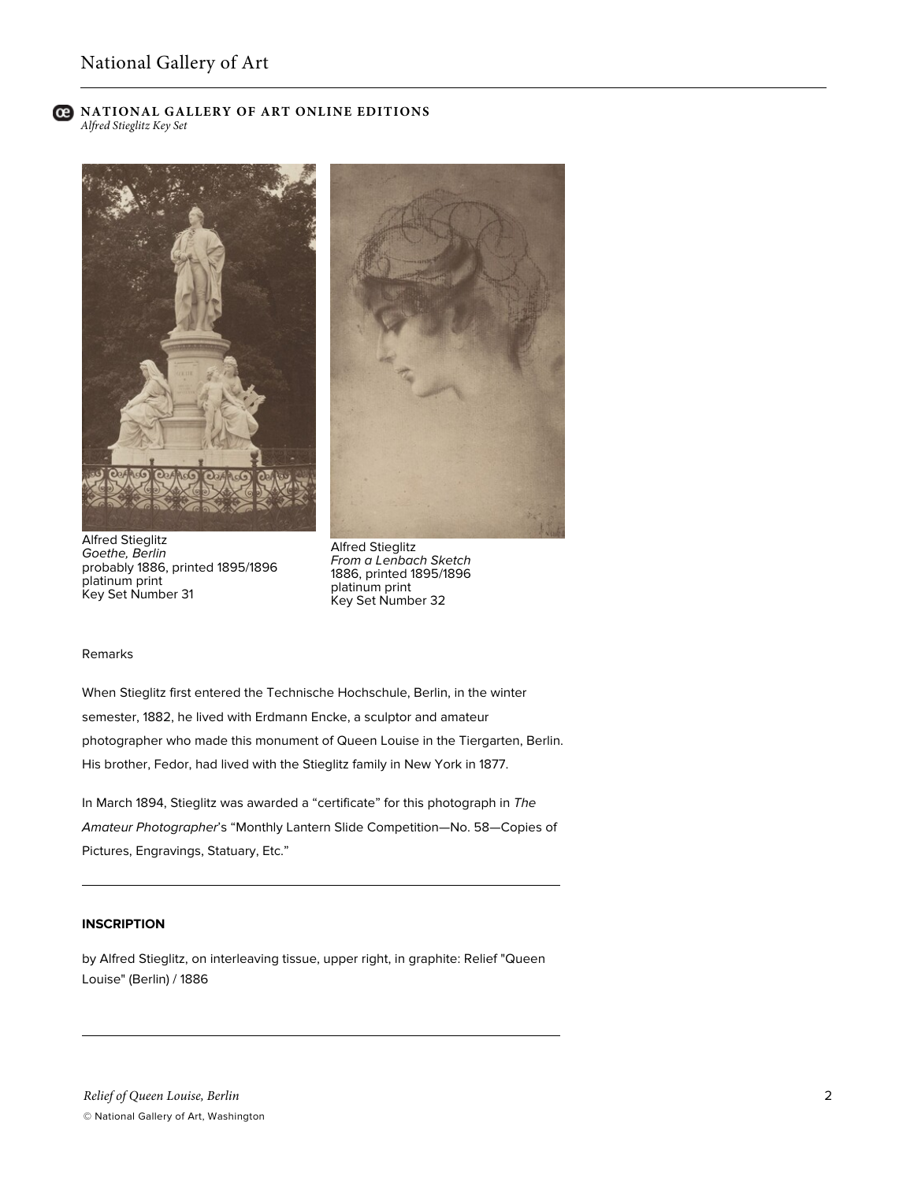# ല

#### **NATIONAL GALLERY OF ART ONLINE EDITIONS** *Alfred Stieglitz Key Set*







Alfred Stieglitz *From a Lenbach Sketch* 1886, printed 1895/1896 platinum print Key Set Number 32

#### Remarks

When Stieglitz first entered the Technische Hochschule, Berlin, in the winter semester, 1882, he lived with Erdmann Encke, a sculptor and amateur photographer who made this monument of Queen Louise in the Tiergarten, Berlin. His brother, Fedor, had lived with the Stieglitz family in New York in 1877.

In March 1894, Stieglitz was awarded a "certificate" for this photograph in *The Amateur Photographer*'s "Monthly Lantern Slide Competition—No. 58—Copies of Pictures, Engravings, Statuary, Etc."

#### **INSCRIPTION**

by Alfred Stieglitz, on interleaving tissue, upper right, in graphite: Relief "Queen Louise" (Berlin) / 1886